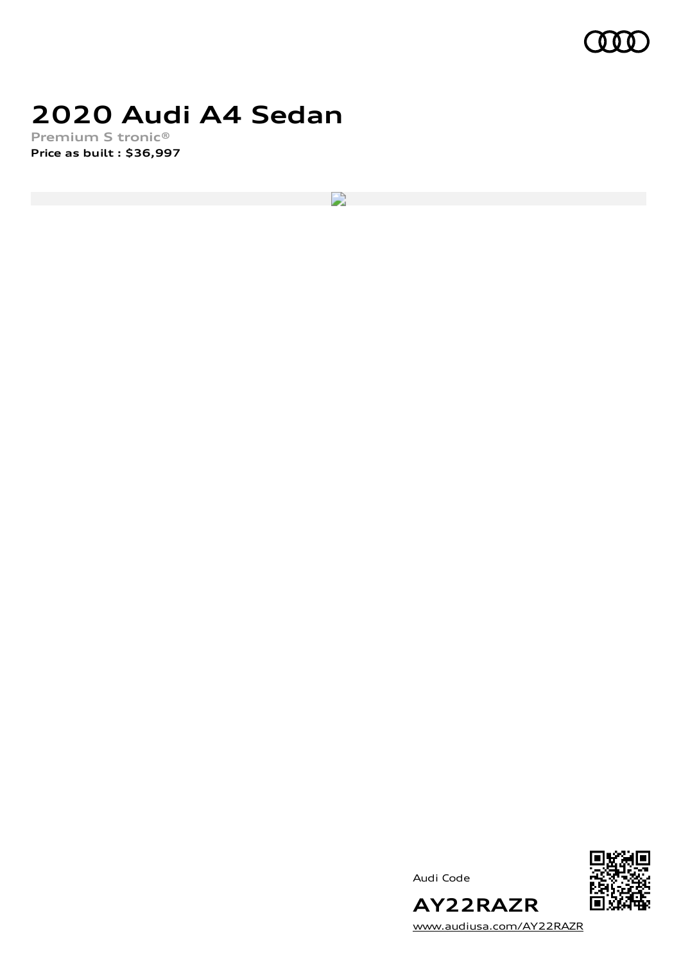

## **2020 Audi A4 Sedan**

**Premium S tronic® Price as built [:](#page-8-0) \$36,997**

 $\mathbf{r}$ 





[www.audiusa.com/AY22RAZR](https://www.audiusa.com/AY22RAZR)

**AY22RAZR**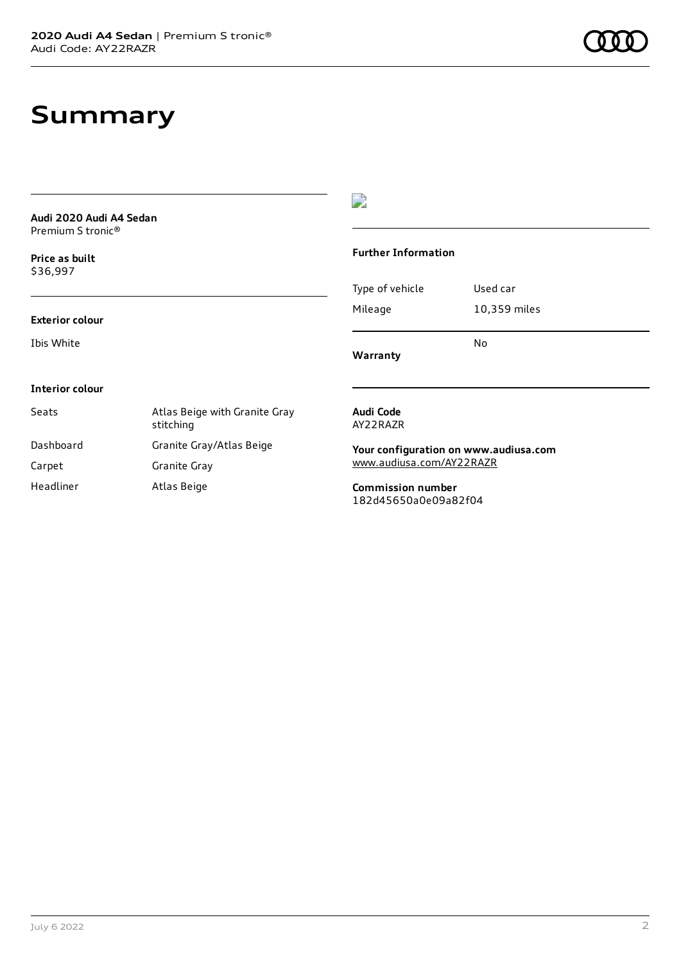## **Summary**

| Audi 2020 Audi A4 Sedan<br>Premium S tronic <sup>®</sup> |                                            |                                                                   |              |
|----------------------------------------------------------|--------------------------------------------|-------------------------------------------------------------------|--------------|
| Price as built<br>\$36,997                               |                                            | <b>Further Information</b>                                        |              |
|                                                          |                                            | Type of vehicle                                                   | Used car     |
| <b>Exterior colour</b>                                   |                                            | Mileage                                                           | 10,359 miles |
| Ibis White                                               |                                            | Warranty                                                          | No           |
| <b>Interior colour</b>                                   |                                            |                                                                   |              |
| Seats                                                    | Atlas Beige with Granite Gray<br>stitching | Audi Code<br>AY22RAZR                                             |              |
| Dashboard                                                | Granite Gray/Atlas Beige                   | Your configuration on www.audiusa.com<br>www.audiusa.com/AY22RAZR |              |
| Carpet                                                   | Granite Gray                               |                                                                   |              |
| Headliner                                                | Atlas Beige                                | <b>Commission number</b><br>182d45650a0e09a82f04                  |              |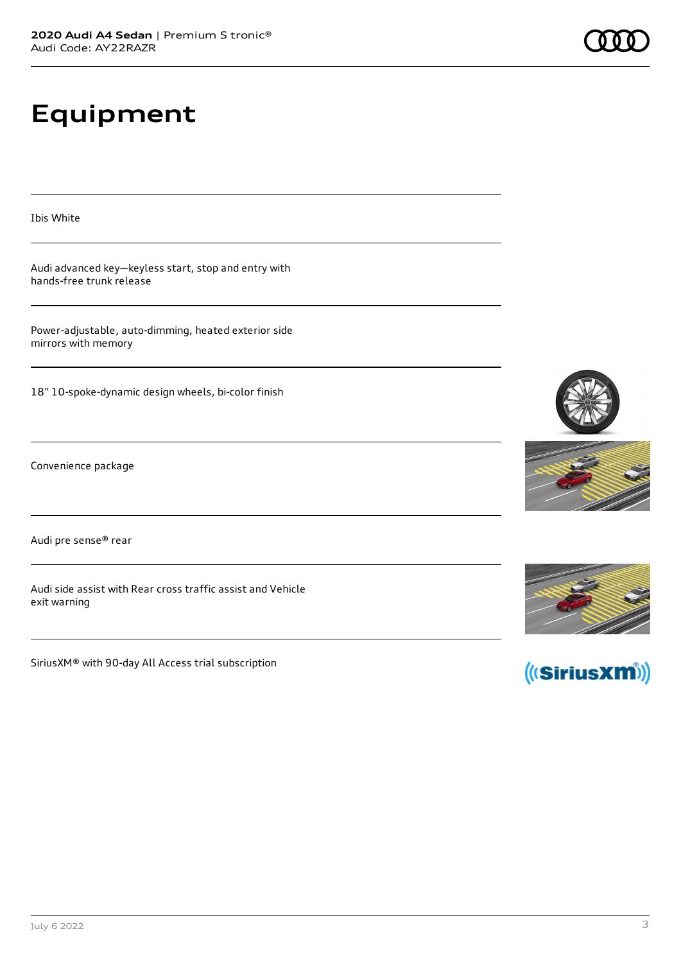# **Equipment**

Ibis White

Audi advanced key—keyless start, stop and entry with hands-free trunk release

Power-adjustable, auto-dimming, heated exterior side mirrors with memory

18" 10-spoke-dynamic design wheels, bi-color finish

Convenience package

Audi pre sense® rear

Audi side assist with Rear cross traffic assist and Vehicle exit warning

SiriusXM® with 90-day All Access trial subscription









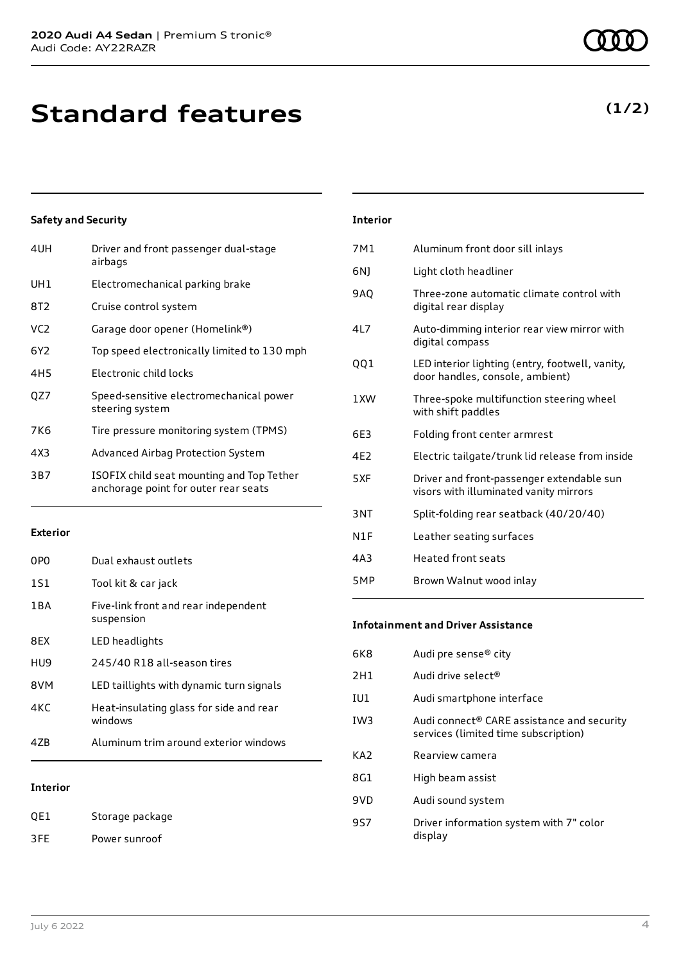| Driver and front passenger dual-stage<br>airbags                                  |
|-----------------------------------------------------------------------------------|
| Electromechanical parking brake                                                   |
| Cruise control system                                                             |
| Garage door opener (Homelink®)                                                    |
| Top speed electronically limited to 130 mph                                       |
| Electronic child locks                                                            |
| Speed-sensitive electromechanical power<br>steering system                        |
| Tire pressure monitoring system (TPMS)                                            |
| Advanced Airbag Protection System                                                 |
| ISOFIX child seat mounting and Top Tether<br>anchorage point for outer rear seats |
|                                                                                   |

#### **Exterior**

| 0PO   | Dual exhaust outlets                               |
|-------|----------------------------------------------------|
| 1S1   | Tool kit & car jack                                |
| 1 B A | Five-link front and rear independent<br>suspension |
| 8FX   | LED headlights                                     |
| HU9   | 245/40 R18 all-season tires                        |
| 8VM   | LED taillights with dynamic turn signals           |
| 4K C  | Heat-insulating glass for side and rear<br>windows |
| 47R   | Aluminum trim around exterior windows              |
|       |                                                    |

#### **Interior**

QE1 Storage package 3FE Power sunroof

| <b>Interior</b> |                                                                                     |
|-----------------|-------------------------------------------------------------------------------------|
| 7M1             | Aluminum front door sill inlays                                                     |
| 6N)             | Light cloth headliner                                                               |
| <b>9AQ</b>      | Three-zone automatic climate control with<br>digital rear display                   |
| 4L7             | Auto-dimming interior rear view mirror with<br>digital compass                      |
| QQ1             | LED interior lighting (entry, footwell, vanity,<br>door handles, console, ambient)  |
| 1 XW            | Three-spoke multifunction steering wheel<br>with shift paddles                      |
| 6E3             | Folding front center armrest                                                        |
| 4F <sub>2</sub> | Electric tailgate/trunk lid release from inside                                     |
| 5XF             | Driver and front-passenger extendable sun<br>visors with illuminated vanity mirrors |
| 3NT             | Split-folding rear seatback (40/20/40)                                              |
| N1F             | Leather seating surfaces                                                            |
| 4A3             | Heated front seats                                                                  |
|                 |                                                                                     |

#### **Infotainment and Driver Assistance**

5MP Brown Walnut wood inlay

| 6K8             | Audi pre sense® city                                                                           |
|-----------------|------------------------------------------------------------------------------------------------|
| 2H1             | Audi drive select <sup>®</sup>                                                                 |
| IU1             | Audi smartphone interface                                                                      |
| IW <sub>3</sub> | Audi connect <sup>®</sup> CARE assistance and security<br>services (limited time subscription) |
| KA2             | Rearview camera                                                                                |
| 8G1             | High beam assist                                                                               |
| 9VD             | Audi sound system                                                                              |
| 957             | Driver information system with 7" color<br>display                                             |
|                 |                                                                                                |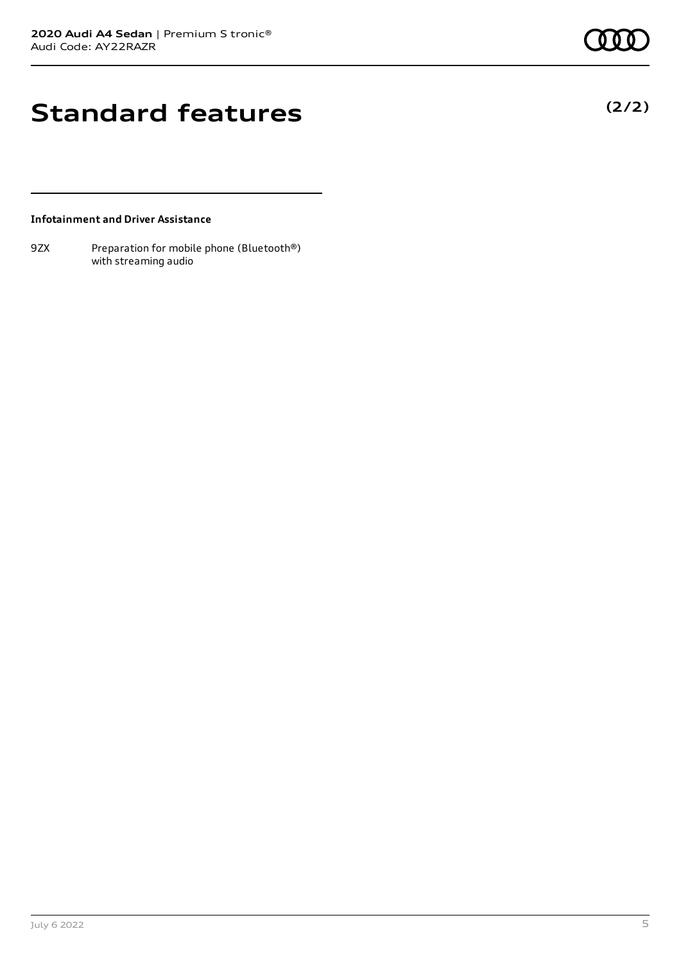### **Standard features**

#### **Infotainment and Driver Assistance**

9ZX Preparation for mobile phone (Bluetooth®) with streaming audio

July 6 2022 5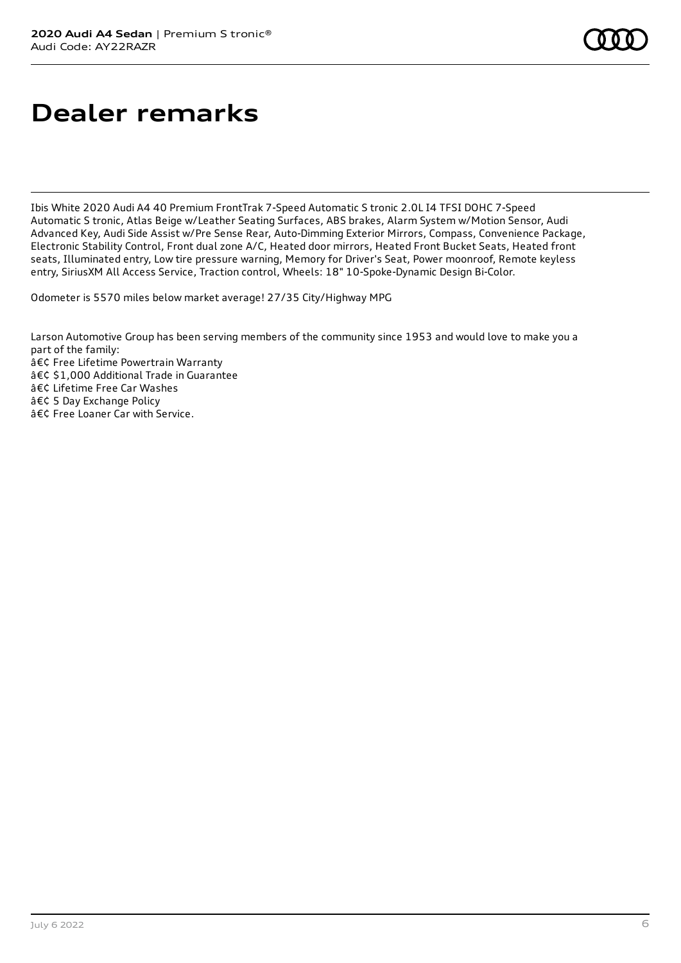### **Dealer remarks**

Ibis White 2020 Audi A4 40 Premium FrontTrak 7-Speed Automatic S tronic 2.0L I4 TFSI DOHC 7-Speed Automatic S tronic, Atlas Beige w/Leather Seating Surfaces, ABS brakes, Alarm System w/Motion Sensor, Audi Advanced Key, Audi Side Assist w/Pre Sense Rear, Auto-Dimming Exterior Mirrors, Compass, Convenience Package, Electronic Stability Control, Front dual zone A/C, Heated door mirrors, Heated Front Bucket Seats, Heated front seats, Illuminated entry, Low tire pressure warning, Memory for Driver's Seat, Power moonroof, Remote keyless entry, SiriusXM All Access Service, Traction control, Wheels: 18" 10-Spoke-Dynamic Design Bi-Color.

Odometer is 5570 miles below market average! 27/35 City/Highway MPG

Larson Automotive Group has been serving members of the community since 1953 and would love to make you a part of the family: • Free Lifetime Powertrain Warranty • \$1,000 Additional Trade in Guarantee • Lifetime Free Car Washes • 5 Day Exchange Policy • Free Loaner Car with Service.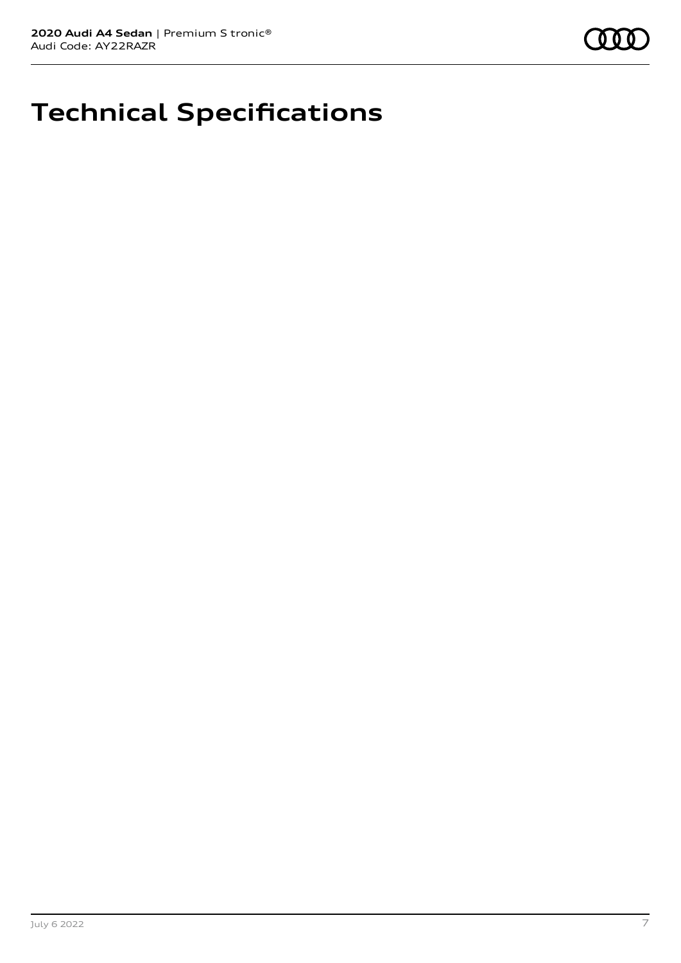

## **Technical Specifications**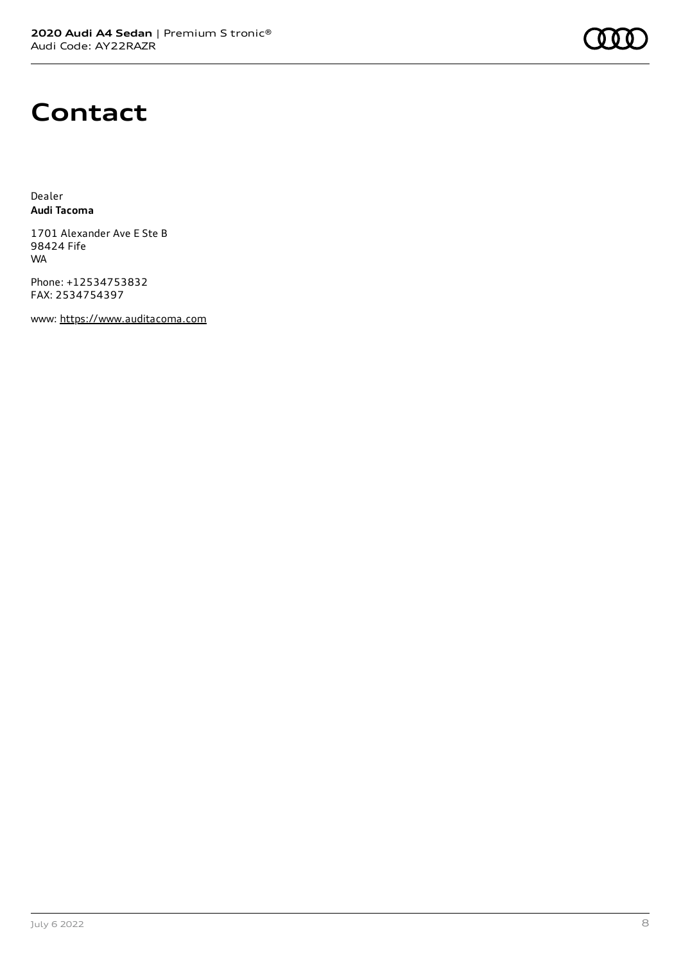#### **Contact**

Dealer **Audi Tacoma**

1701 Alexander Ave E Ste B 98424 Fife WA

Phone: +12534753832 FAX: 2534754397

www: [https://www.auditacoma.com](https://www.auditacoma.com/)